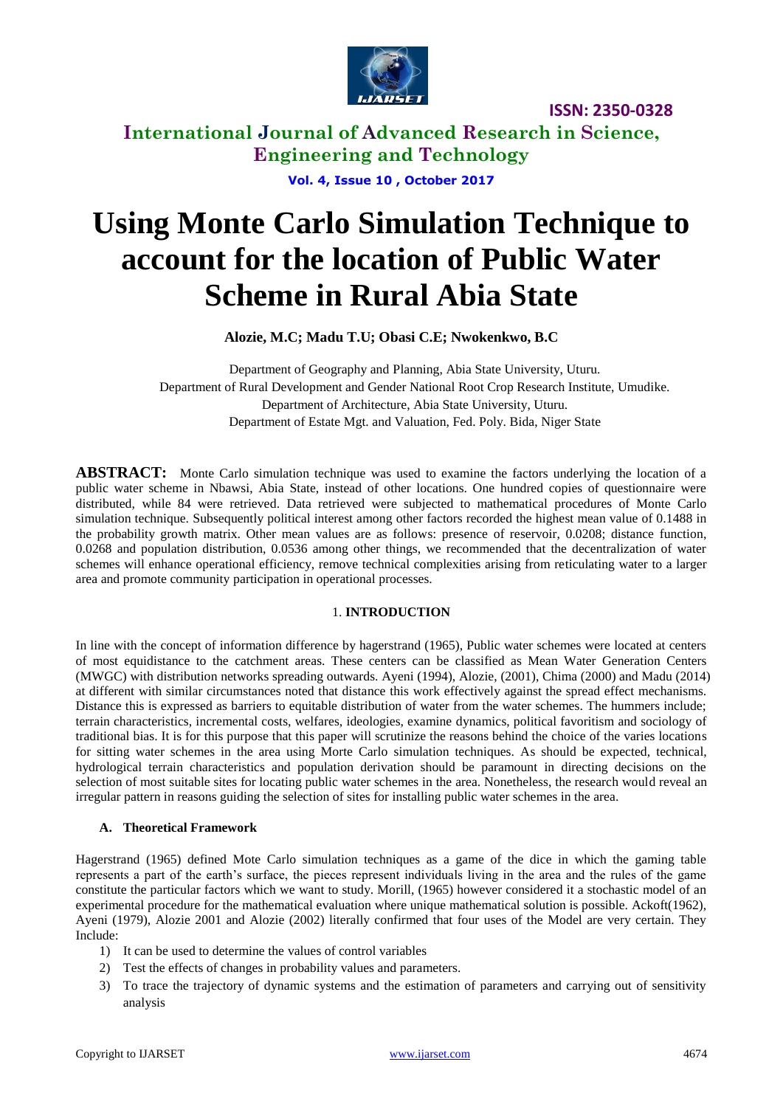

**International Journal of Advanced Research in Science, Engineering and Technology**

**Vol. 4, Issue 10 , October 2017**

# **Using Monte Carlo Simulation Technique to account for the location of Public Water Scheme in Rural Abia State**

**Alozie, M.C; Madu T.U; Obasi C.E; Nwokenkwo, B.C**

Department of Geography and Planning, Abia State University, Uturu. Department of Rural Development and Gender National Root Crop Research Institute, Umudike. Department of Architecture, Abia State University, Uturu. Department of Estate Mgt. and Valuation, Fed. Poly. Bida, Niger State

**ABSTRACT:** Monte Carlo simulation technique was used to examine the factors underlying the location of a public water scheme in Nbawsi, Abia State, instead of other locations. One hundred copies of questionnaire were distributed, while 84 were retrieved. Data retrieved were subjected to mathematical procedures of Monte Carlo simulation technique. Subsequently political interest among other factors recorded the highest mean value of 0.1488 in the probability growth matrix. Other mean values are as follows: presence of reservoir, 0.0208; distance function, 0.0268 and population distribution, 0.0536 among other things, we recommended that the decentralization of water schemes will enhance operational efficiency, remove technical complexities arising from reticulating water to a larger area and promote community participation in operational processes.

### 1. **INTRODUCTION**

In line with the concept of information difference by hagerstrand (1965), Public water schemes were located at centers of most equidistance to the catchment areas. These centers can be classified as Mean Water Generation Centers (MWGC) with distribution networks spreading outwards. Ayeni (1994), Alozie, (2001), Chima (2000) and Madu (2014) at different with similar circumstances noted that distance this work effectively against the spread effect mechanisms. Distance this is expressed as barriers to equitable distribution of water from the water schemes. The hummers include; terrain characteristics, incremental costs, welfares, ideologies, examine dynamics, political favoritism and sociology of traditional bias. It is for this purpose that this paper will scrutinize the reasons behind the choice of the varies locations for sitting water schemes in the area using Morte Carlo simulation techniques. As should be expected, technical, hydrological terrain characteristics and population derivation should be paramount in directing decisions on the selection of most suitable sites for locating public water schemes in the area. Nonetheless, the research would reveal an irregular pattern in reasons guiding the selection of sites for installing public water schemes in the area.

# **A. Theoretical Framework**

Hagerstrand (1965) defined Mote Carlo simulation techniques as a game of the dice in which the gaming table represents a part of the earth's surface, the pieces represent individuals living in the area and the rules of the game constitute the particular factors which we want to study. Morill, (1965) however considered it a stochastic model of an experimental procedure for the mathematical evaluation where unique mathematical solution is possible. Ackoft(1962), Ayeni (1979), Alozie 2001 and Alozie (2002) literally confirmed that four uses of the Model are very certain. They Include:

- 1) It can be used to determine the values of control variables
- 2) Test the effects of changes in probability values and parameters.
- 3) To trace the trajectory of dynamic systems and the estimation of parameters and carrying out of sensitivity analysis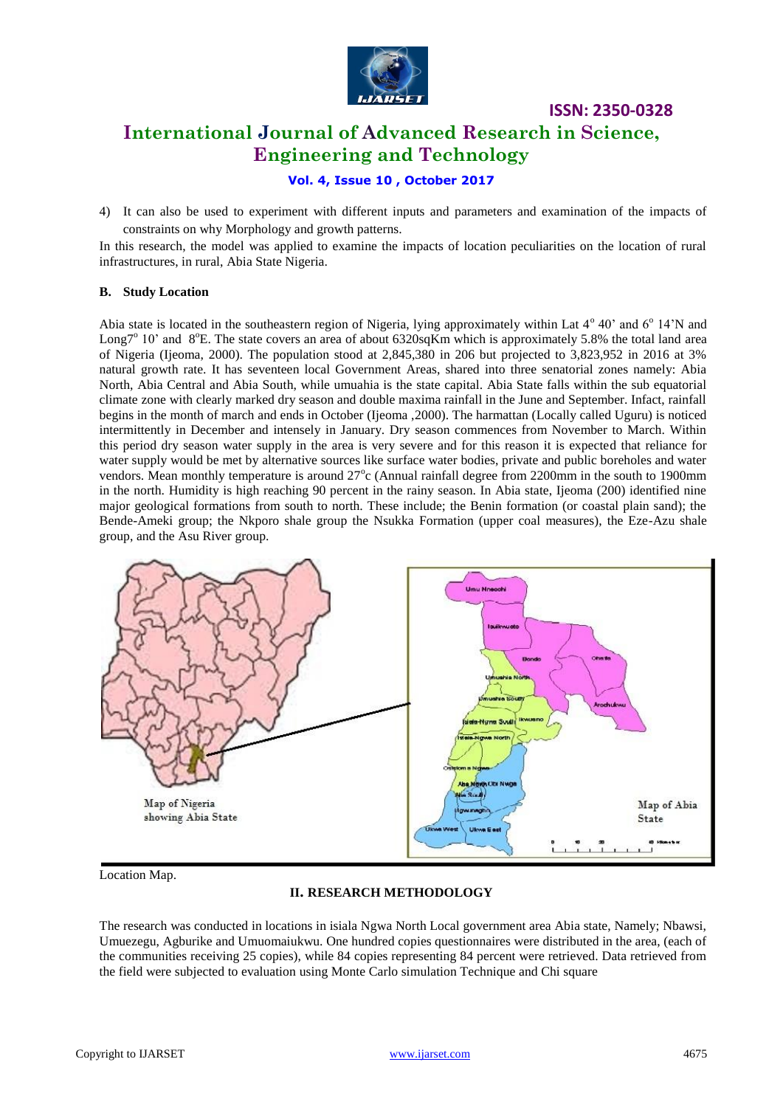

# **ISSN: 2350-0328 International Journal of Advanced Research in Science, Engineering and Technology**

# **Vol. 4, Issue 10 , October 2017**

4) It can also be used to experiment with different inputs and parameters and examination of the impacts of constraints on why Morphology and growth patterns.

In this research, the model was applied to examine the impacts of location peculiarities on the location of rural infrastructures, in rural, Abia State Nigeria.

### **B. Study Location**

Abia state is located in the southeastern region of Nigeria, lying approximately within Lat 4° 40' and 6° 14'N and Long<sup>7°</sup> 10' and  $8^{\circ}$ E. The state covers an area of about 6320sqKm which is approximately 5.8% the total land area of Nigeria (Ijeoma, 2000). The population stood at 2,845,380 in 206 but projected to 3,823,952 in 2016 at 3% natural growth rate. It has seventeen local Government Areas, shared into three senatorial zones namely: Abia North, Abia Central and Abia South, while umuahia is the state capital. Abia State falls within the sub equatorial climate zone with clearly marked dry season and double maxima rainfall in the June and September. Infact, rainfall begins in the month of march and ends in October (Ijeoma ,2000). The harmattan (Locally called Uguru) is noticed intermittently in December and intensely in January. Dry season commences from November to March. Within this period dry season water supply in the area is very severe and for this reason it is expected that reliance for water supply would be met by alternative sources like surface water bodies, private and public boreholes and water vendors. Mean monthly temperature is around  $27^{\circ}$ c (Annual rainfall degree from 2200mm in the south to 1900mm in the north. Humidity is high reaching 90 percent in the rainy season. In Abia state, Ijeoma (200) identified nine major geological formations from south to north. These include; the Benin formation (or coastal plain sand); the Bende-Ameki group; the Nkporo shale group the Nsukka Formation (upper coal measures), the Eze-Azu shale group, and the Asu River group.



Location Map.

### **II. RESEARCH METHODOLOGY**

The research was conducted in locations in isiala Ngwa North Local government area Abia state, Namely; Nbawsi, Umuezegu, Agburike and Umuomaiukwu. One hundred copies questionnaires were distributed in the area, (each of the communities receiving 25 copies), while 84 copies representing 84 percent were retrieved. Data retrieved from the field were subjected to evaluation using Monte Carlo simulation Technique and Chi square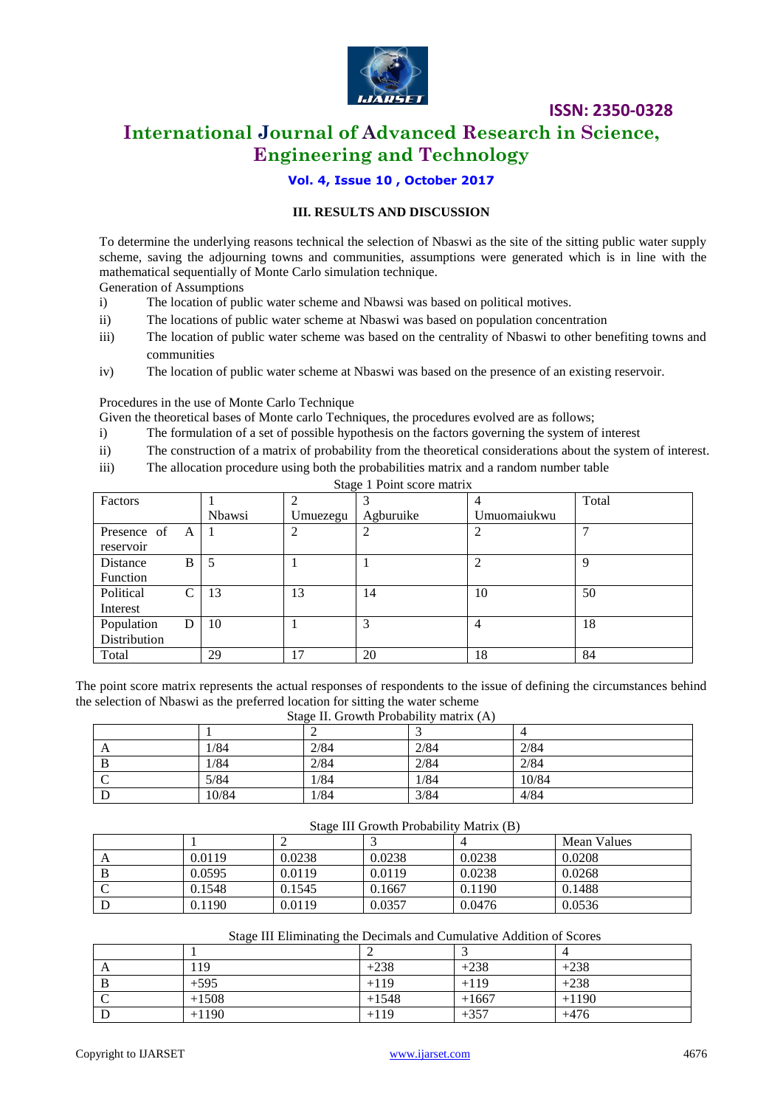

# **International Journal of Advanced Research in Science, Engineering and Technology**

# **Vol. 4, Issue 10 , October 2017**

## **III. RESULTS AND DISCUSSION**

To determine the underlying reasons technical the selection of Nbaswi as the site of the sitting public water supply scheme, saving the adjourning towns and communities, assumptions were generated which is in line with the mathematical sequentially of Monte Carlo simulation technique.

Generation of Assumptions

- i) The location of public water scheme and Nbawsi was based on political motives.
- ii) The locations of public water scheme at Nbaswi was based on population concentration
- iii) The location of public water scheme was based on the centrality of Nbaswi to other benefiting towns and communities
- iv) The location of public water scheme at Nbaswi was based on the presence of an existing reservoir.

#### Procedures in the use of Monte Carlo Technique

Given the theoretical bases of Monte carlo Techniques, the procedures evolved are as follows;

- i) The formulation of a set of possible hypothesis on the factors governing the system of interest
- ii) The construction of a matrix of probability from the theoretical considerations about the system of interest.
- iii) The allocation procedure using both the probabilities matrix and a random number table

| Stage 1 Point score matrix |        |          |           |             |       |
|----------------------------|--------|----------|-----------|-------------|-------|
| Factors                    |        |          |           |             | Total |
|                            | Nbawsi | Umuezegu | Agburuike | Umuomaiukwu |       |
| Presence of<br>A           |        |          |           |             |       |
| reservoir                  |        |          |           |             |       |
| Distance<br>B              | 5      |          |           |             | Q     |
| <b>Function</b>            |        |          |           |             |       |
| Political<br>C             | 13     | 13       | 14        | 10          | 50    |
| Interest                   |        |          |           |             |       |
| Population<br>D            | 10     |          | 3         | 4           | 18    |
| Distribution               |        |          |           |             |       |
| Total                      | 29     | 17       | 20        | 18          | 84    |

The point score matrix represents the actual responses of respondents to the issue of defining the circumstances behind the selection of Nbaswi as the preferred location for sitting the water scheme

#### Stage II. Growth Probability matrix (A)

| $\sim$ $\sim$ $\sim$<br>. |       |      |      |       |  |  |
|---------------------------|-------|------|------|-------|--|--|
|                           |       |      |      |       |  |  |
| A                         | 1/84  | 2/84 | 2/84 | 2/84  |  |  |
| B                         | 1/84  | 2/84 | 2/84 | 2/84  |  |  |
|                           | 5/84  | 1/84 | 1/84 | 10/84 |  |  |
|                           | 10/84 | 1/84 | 3/84 | 4/84  |  |  |

#### Stage III Growth Probability Matrix (B)

|   |        |        |        |        | Mean Values |
|---|--------|--------|--------|--------|-------------|
| A | 0.0119 | 0.0238 | 0.0238 | 0.0238 | 0.0208      |
|   | 0.0595 | 0.0119 | 0.0119 | 0.0238 | 0.0268      |
|   | 0.1548 | 0.1545 | 0.1667 | 0.1190 | 0.1488      |
|   | 0.1190 | 0.0119 | 0.0357 | 0.0476 | 0.0536      |

#### Stage III Eliminating the Decimals and Cumulative Addition of Scores

| A | 119     | $+238$  | $+238$  | $+238$  |
|---|---------|---------|---------|---------|
| B | $+595$  | $+119$  | $+119$  | $+238$  |
|   | $+1508$ | $+1548$ | $+1667$ | $+1190$ |
|   | $+1190$ | $+119$  | $+357$  | $+476$  |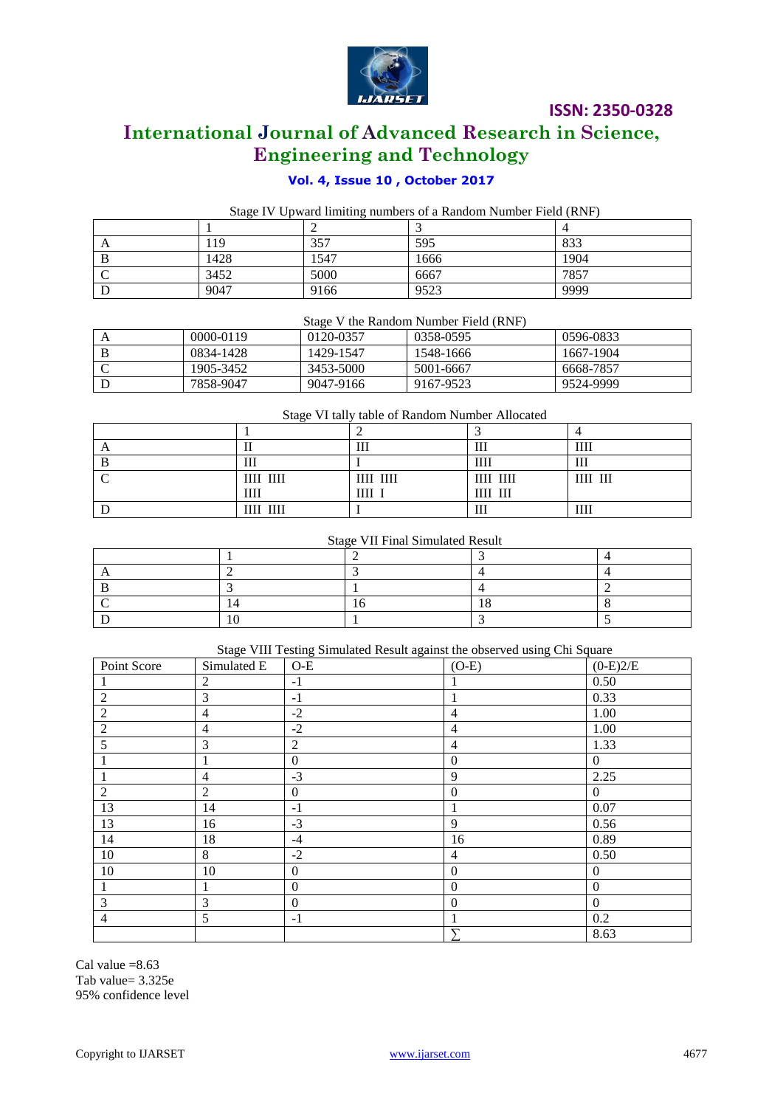

# **International Journal of Advanced Research in Science, Engineering and Technology**

# **Vol. 4, Issue 10 , October 2017**

Stage IV Upward limiting numbers of a Random Number Field (RNF)

| $\Gamma$ | 19   | 357  | 595  | 833  |
|----------|------|------|------|------|
| D        | 1428 | 1547 | 1666 | 1904 |
|          | 3452 | 5000 | 6667 | 7857 |
|          | 9047 | 9166 | 9523 | 9999 |

Stage V the Random Number Field (RNF)

| 0000-0119 | 0120-0357 | 0358-0595 | 0596-0833 |
|-----------|-----------|-----------|-----------|
| 0834-1428 | 1429-1547 | 1548-1666 | 1667-1904 |
| 1905-3452 | 3453-5000 | 5001-6667 | 6668-7857 |
| 7858-9047 | 9047-9166 | 9167-9523 | 9524-9999 |

Stage VI tally table of Random Number Allocated

| ~                 |           |             |      |
|-------------------|-----------|-------------|------|
|                   | 111       | Ш           | Ш    |
| 111               |           | Ш           | Ш    |
| ШІ ШІ             | IIII IIII | IIII IIII   | ШІ Ш |
| Ш                 | ШІ        | $III$ $III$ |      |
| $\rm III\,I\,III$ |           | Ш           | Ш    |

# Stage VII Final Simulated Result

Stage VIII Testing Simulated Result against the observed using Chi Square

| Point Score    | Simulated E    | $O-E$            | $(O-E)$          | $(0-E)2/E$       |
|----------------|----------------|------------------|------------------|------------------|
| $\perp$        | 2              | $-1$             |                  | 0.50             |
| $\overline{2}$ | 3              | $-1$             |                  | 0.33             |
| $\overline{2}$ | $\overline{4}$ | $-2$             | $\overline{4}$   | 1.00             |
| $\overline{2}$ | $\overline{4}$ | $-2$             | 4                | 1.00             |
| 5              | 3              | 2                | $\overline{4}$   | 1.33             |
|                |                | $\overline{0}$   | $\mathbf{0}$     | $\overline{0}$   |
|                | 4              | $-3$             | 9                | 2.25             |
| $\overline{2}$ | $\overline{2}$ | $\overline{0}$   | $\boldsymbol{0}$ | $\theta$         |
| 13             | 14             | $-1$             |                  | 0.07             |
| 13             | 16             | $-3$             | 9                | 0.56             |
| 14             | 18             | $-4$             | 16               | 0.89             |
| 10             | 8              | $-2$             | $\overline{4}$   | 0.50             |
| 10             | 10             | $\boldsymbol{0}$ | $\boldsymbol{0}$ | $\overline{0}$   |
| $\mathbf{1}$   |                | $\boldsymbol{0}$ | $\boldsymbol{0}$ | $\boldsymbol{0}$ |
| 3              | 3              | $\theta$         | $\Omega$         | $\theta$         |
| $\overline{4}$ | 5              | $-1$             |                  | 0.2              |
|                |                |                  |                  | 8.63             |

Cal value  $=8.63$ Tab value= 3.325e 95% confidence level